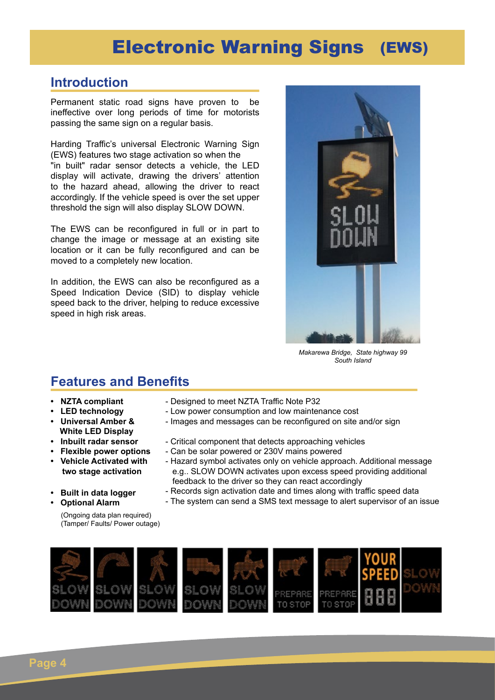# Electronic Warning Signs (EWS)

#### **Introduction**

Permanent static road signs have proven to be ineffective over long periods of time for motorists passing the same sign on a regular basis.

Harding Traffic's universal Electronic Warning Sign (EWS) features two stage activation so when the

"in built" radar sensor detects a vehicle, the LED display will activate, drawing the drivers' attention to the hazard ahead, allowing the driver to react accordingly. If the vehicle speed is over the set upper threshold the sign will also display SLOW DOWN.

The EWS can be reconfigured in full or in part to change the image or message at an existing site location or it can be fully reconfigured and can be moved to a completely new location.

In addition, the EWS can also be reconfigured as a Speed Indication Device (SID) to display vehicle speed back to the driver, helping to reduce excessive speed in high risk areas.



*Makarewa Bridge, State highway 99 South Island*

#### **Features and Benefits**

- **NZTA compliant**
- **LED technology**
- **Universal Amber & White LED Display**
- **Inbuilt radar sensor**
- **Flexible power options**
- **Vehicle Activated with**

(Ongoing data plan required) (Tamper/ Faults/ Power outage)

- **two stage activation**
- **Built in data logger**
- **Optional Alarm**
- Designed to meet NZTA Traffic Note P32
- Low power consumption and low maintenance cost
	- Images and messages can be reconfigured on site and/or sign
	- Critical component that detects approaching vehicles
	- Can be solar powered or 230V mains powered
- Hazard symbol activates only on vehicle approach. Additional message e.g.. SLOW DOWN activates upon excess speed providing additional feedback to the driver so they can react accordingly
- Records sign activation date and times along with traffic speed data
- The system can send a SMS text message to alert supervisor of an issue